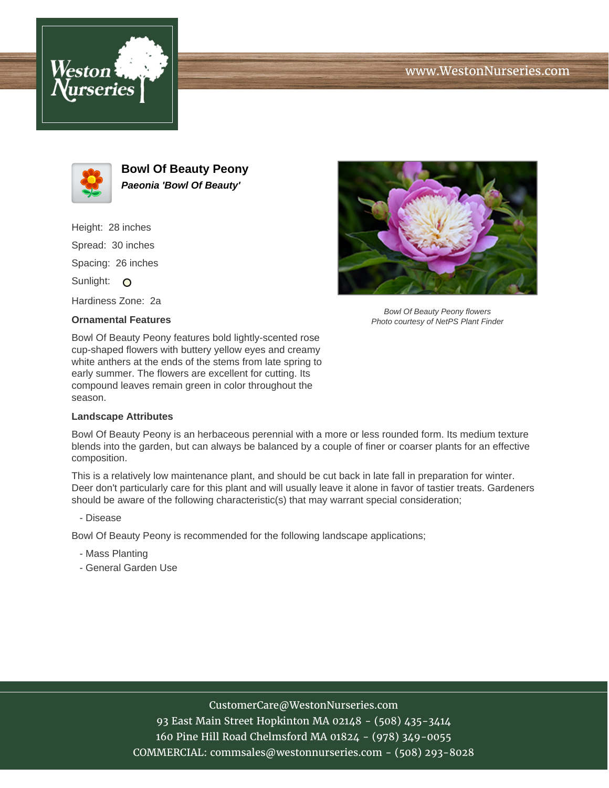





**Bowl Of Beauty Peony Paeonia 'Bowl Of Beauty'**

Height: 28 inches Spread: 30 inches Spacing: 26 inches Sunlight: O Hardiness Zone: 2a

## **Ornamental Features**



Bowl Of Beauty Peony flowers Photo courtesy of NetPS Plant Finder

Bowl Of Beauty Peony features bold lightly-scented rose cup-shaped flowers with buttery yellow eyes and creamy white anthers at the ends of the stems from late spring to early summer. The flowers are excellent for cutting. Its compound leaves remain green in color throughout the season.

## **Landscape Attributes**

Bowl Of Beauty Peony is an herbaceous perennial with a more or less rounded form. Its medium texture blends into the garden, but can always be balanced by a couple of finer or coarser plants for an effective composition.

This is a relatively low maintenance plant, and should be cut back in late fall in preparation for winter. Deer don't particularly care for this plant and will usually leave it alone in favor of tastier treats. Gardeners should be aware of the following characteristic(s) that may warrant special consideration;

- Disease

Bowl Of Beauty Peony is recommended for the following landscape applications;

- Mass Planting
- General Garden Use

## CustomerCare@WestonNurseries.com

93 East Main Street Hopkinton MA 02148 - (508) 435-3414 160 Pine Hill Road Chelmsford MA 01824 - (978) 349-0055 COMMERCIAL: commsales@westonnurseries.com - (508) 293-8028